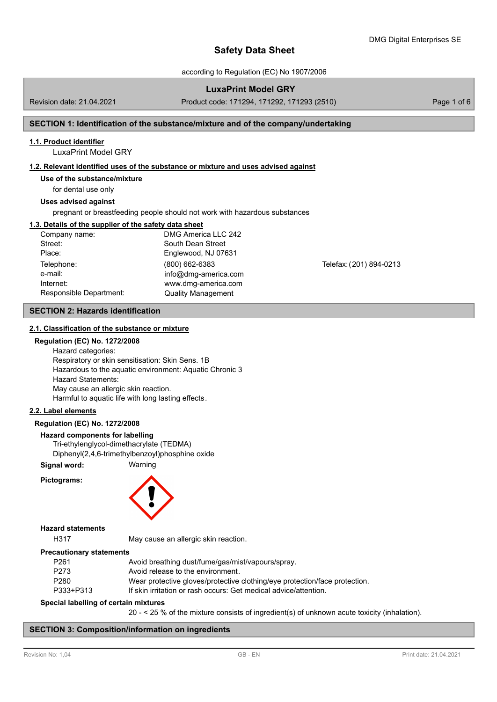according to Regulation (EC) No 1907/2006

## **LuxaPrint Model GRY**

Revision date: 21.04.2021 Product code: 171294, 171292, 171293 (2510) Page 1 of 6

## **SECTION 1: Identification of the substance/mixture and of the company/undertaking**

### **1.1. Product identifier**

LuxaPrint Model GRY

#### **1.2. Relevant identified uses of the substance or mixture and uses advised against**

## **Use of the substance/mixture**

for dental use only

#### **Uses advised against**

pregnant or breastfeeding people should not work with hazardous substances

### **1.3. Details of the supplier of the safety data sheet**

| Company name:           | DMG America LLC 242       |                         |
|-------------------------|---------------------------|-------------------------|
| Street:                 | South Dean Street         |                         |
| Place:                  | Englewood, NJ 07631       |                         |
| Telephone:              | $(800)$ 662-6383          | Telefax: (201) 894-0213 |
| e-mail:                 | info@dmq-america.com      |                         |
| Internet:               | www.dmg-america.com       |                         |
| Responsible Department: | <b>Quality Management</b> |                         |

### **SECTION 2: Hazards identification**

#### **2.1. Classification of the substance or [mixture](http://www.dmg-digital.com)**

#### **Regulation (EC) No. 1272/2008**

Hazard categories: Respiratory or skin sensitisation: Skin Sens. 1B Hazardous to the aquatic environment: Aquatic Chronic 3 Hazard Statements: May cause an allergic skin reaction. Harmful to aquatic life with long lasting effects.

#### **2.2. Label elements**

#### **Regulation (EC) No. 1272/2008**

#### **Hazard components for labelling**

Tri-ethylenglycol-dimethacrylate (TEDMA)

Diphenyl(2,4,6-trimethylbenzoyl)phosphine oxide

## **Signal word:** Warning

**Pictograms:**



## **Hazard statements**

H317 May cause an allergic skin reaction.

#### **Precautionary statements**

| P261      | Avoid breathing dust/fume/gas/mist/vapours/spray.                          |  |
|-----------|----------------------------------------------------------------------------|--|
| P273      | Avoid release to the environment.                                          |  |
| P280      | Wear protective gloves/protective clothing/eye protection/face protection. |  |
| P333+P313 | If skin irritation or rash occurs: Get medical advice/attention.           |  |
|           |                                                                            |  |

### **Special labelling of certain mixtures**

20 - < 25 % of the mixture consists of ingredient(s) of unknown acute toxicity (inhalation).

## **SECTION 3: Composition/information on ingredients**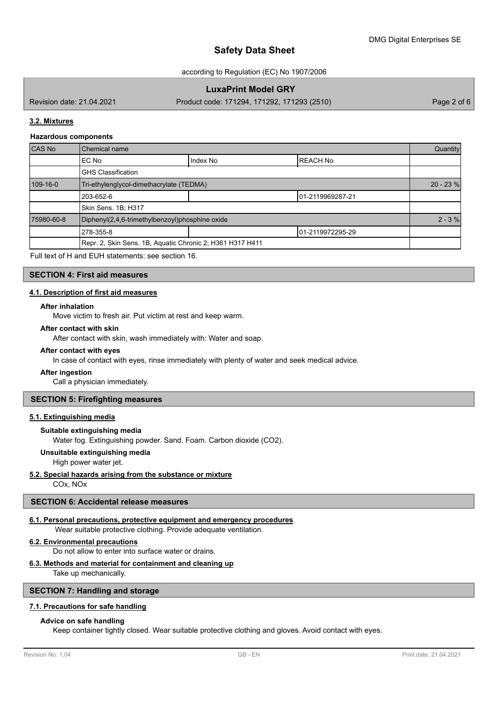according to Regulation (EC) No 1907/2006

## **LuxaPrint Model GRY**

Revision date: 21.04.2021 Product code: 171294, 171292, 171293 (2510) Page 2 of 6

## **3.2. Mixtures**

#### **Hazardous components**

| <b>CAS No</b> | <b>Chemical name</b>                                      |          |                   | Quantity |
|---------------|-----------------------------------------------------------|----------|-------------------|----------|
|               | IEC No                                                    | Index No | <b>REACH No</b>   |          |
|               | <b>GHS Classification</b>                                 |          |                   |          |
| 109-16-0      | Tri-ethylenglycol-dimethacrylate (TEDMA)                  |          |                   |          |
|               | 203-652-6                                                 |          | 101-2119969287-21 |          |
|               | Skin Sens. 1B; H317                                       |          |                   |          |
| 75980-60-8    | Diphenyl(2,4,6-trimethylbenzoyl)phosphine oxide           |          |                   | $2 - 3%$ |
|               | 278-355-8                                                 |          | 101-2119972295-29 |          |
|               | Repr. 2, Skin Sens. 1B, Aquatic Chronic 2; H361 H317 H411 |          |                   |          |

Full text of H and EUH statements: see section 16.

## **SECTION 4: First aid measures**

## **4.1. Description of first aid measures**

#### **After inhalation**

Move victim to fresh air. Put victim at rest and keep warm.

## **After contact with skin**

After contact with skin, wash immediately with: Water and soap.

#### **After contact with eyes**

In case of contact with eyes, rinse immediately with plenty of water and seek medical advice.

#### **After ingestion**

Call a physician immediately.

### **SECTION 5: Firefighting measures**

#### **5.1. Extinguishing media**

### **Suitable extinguishing media**

Water fog. Extinguishing powder. Sand. Foam. Carbon dioxide (CO2).

#### **Unsuitable extinguishing media**

High power water jet.

#### **5.2. Special hazards arising from the substance or mixture**

COx, NOx

## **SECTION 6: Accidental release measures**

### **6.1. Personal precautions, protective equipment and emergency procedures**

Wear suitable protective clothing. Provide adequate ventilation.

#### **6.2. Environmental precautions**

Do not allow to enter into surface water or drains.

### **6.3. Methods and material for containment and cleaning up**

Take up mechanically.

## **SECTION 7: Handling and storage**

### **7.1. Precautions for safe handling**

#### **Advice on safe handling**

Keep container tightly closed. Wear suitable protective clothing and gloves. Avoid contact with eyes.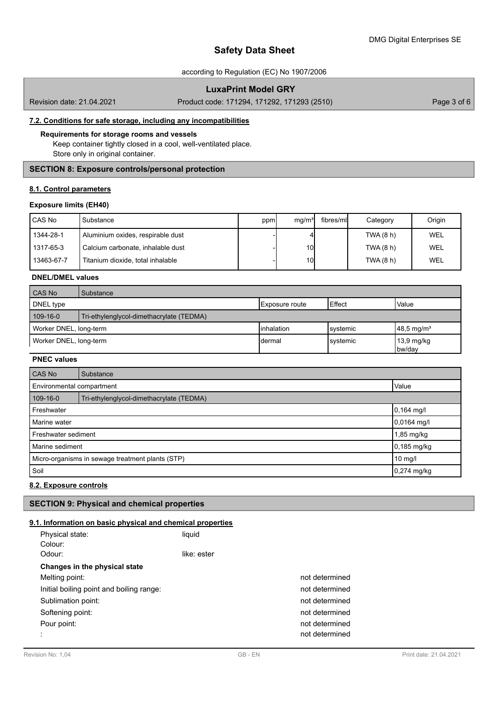### according to Regulation (EC) No 1907/2006

## **LuxaPrint Model GRY**

Revision date: 21.04.2021 Product code: 171294, 171292, 171293 (2510) Page 3 of 6

## **7.2. Conditions for safe storage, including any incompatibilities**

## **Requirements for storage rooms and vessels**

Keep container tightly closed in a cool, well-ventilated place. Store only in original container.

## **SECTION 8: Exposure controls/personal protection**

## **8.1. Control parameters**

### **Exposure limits (EH40)**

| I CAS No   | Substance                         | ppm | mq/m <sup>3</sup> | fibres/mll | Category  | Origin |
|------------|-----------------------------------|-----|-------------------|------------|-----------|--------|
| 1344-28-1  | Aluminium oxides, respirable dust |     |                   |            | TWA (8 h) | WEL    |
| 1317-65-3  | Calcium carbonate, inhalable dust |     | 10 <sup>1</sup>   |            | TWA (8 h) | WEL    |
| 13463-67-7 | Titanium dioxide, total inhalable |     | 10 <sup>1</sup>   |            | TWA (8 h) | WEL    |

## **DNEL/DMEL values**

| <b>CAS No</b>          | Substance                                |                    |           |                                |
|------------------------|------------------------------------------|--------------------|-----------|--------------------------------|
| DNEL type              |                                          | Exposure route     | Effect    | <b>Value</b>                   |
| 109-16-0               | Tri-ethylenglycol-dimethacrylate (TEDMA) |                    |           |                                |
| Worker DNEL, long-term |                                          | <b>linhalation</b> | lsystemic | $148,5 \,\mathrm{mg/m^3}$      |
| Worker DNEL, long-term |                                          | Idermal            | systemic  | $13,9 \text{ mg/kg}$<br>bw/day |

## **PNEC values**

| CAS No                                               | Substance     |             |  |
|------------------------------------------------------|---------------|-------------|--|
| Environmental compartment                            | Value         |             |  |
| 109-16-0<br>Tri-ethylenglycol-dimethacrylate (TEDMA) |               |             |  |
| Freshwater                                           |               | 0,164 mg/l  |  |
| Marine water                                         |               | 0,0164 mg/l |  |
| Freshwater sediment                                  |               | 1,85 mg/kg  |  |
| Marine sediment                                      |               | 0,185 mg/kg |  |
| Micro-organisms in sewage treatment plants (STP)     |               | 10 mg/l     |  |
| Soil                                                 | $0,274$ mg/kg |             |  |

## **8.2. Exposure controls**

## **SECTION 9: Physical and chemical properties**

## **9.1. Information on basic physical and chemical properties**

| Physical state:<br>Colour:               | liquid      |                |
|------------------------------------------|-------------|----------------|
| Odour:                                   | like: ester |                |
| Changes in the physical state            |             |                |
| Melting point:                           |             | not determined |
| Initial boiling point and boiling range: |             | not determined |
| Sublimation point:                       |             | not determined |
| Softening point:                         |             | not determined |
| Pour point:                              |             | not determined |
|                                          |             | not determined |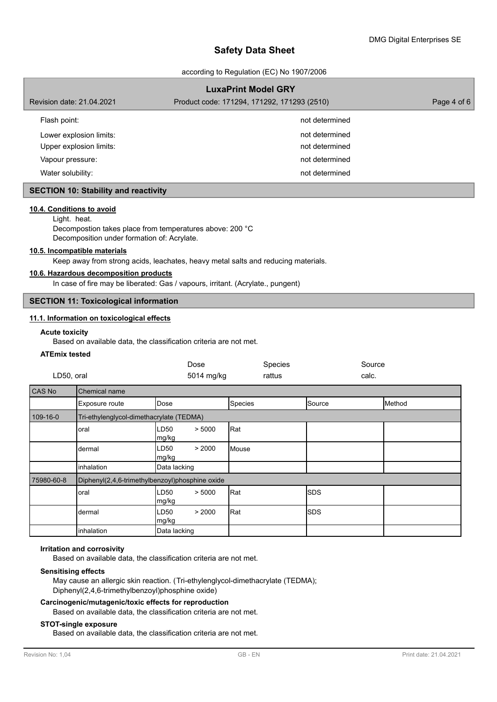according to Regulation (EC) No 1907/2006

|                                             | <b>LuxaPrint Model GRY</b>                  |             |
|---------------------------------------------|---------------------------------------------|-------------|
| Revision date: 21.04.2021                   | Product code: 171294, 171292, 171293 (2510) | Page 4 of 6 |
| Flash point:                                | not determined                              |             |
| Lower explosion limits:                     | not determined                              |             |
| Upper explosion limits:                     | not determined                              |             |
| Vapour pressure:                            | not determined                              |             |
| Water solubility:                           | not determined                              |             |
| <b>SECTION 10: Stability and reactivity</b> |                                             |             |

# **10.4. Conditions to avoid**

Light. heat.

Decompostion takes place from temperatures above: 200 °C Decomposition under formation of: Acrylate.

## **10.5. Incompatible materials**

Keep away from strong acids, leachates, heavy metal salts and reducing materials.

### **10.6. Hazardous decomposition products**

In case of fire may be liberated: Gas / vapours, irritant. (Acrylate., pungent)

# **SECTION 11: Toxicological information**

### **11.1. Information on toxicological effects**

#### **Acute toxicity**

Based on available data, the classification criteria are not met.

#### **ATEmix tested**

| LD50, oral |                                                 |               | Dose<br>5014 mg/kg |         | Species<br>rattus |            | Source<br>calc. |        |
|------------|-------------------------------------------------|---------------|--------------------|---------|-------------------|------------|-----------------|--------|
| CAS No     | Chemical name                                   |               |                    |         |                   |            |                 |        |
|            | Exposure route                                  | Dose          |                    | Species |                   | Source     |                 | Method |
| 109-16-0   | Tri-ethylenglycol-dimethacrylate (TEDMA)        |               |                    |         |                   |            |                 |        |
|            | oral                                            | LD50<br>mg/kg | > 5000             | Rat     |                   |            |                 |        |
|            | dermal                                          | LD50<br>mg/kg | > 2000             | Mouse   |                   |            |                 |        |
|            | inhalation                                      | Data lacking  |                    |         |                   |            |                 |        |
| 75980-60-8 | Diphenyl(2,4,6-trimethylbenzoyl)phosphine oxide |               |                    |         |                   |            |                 |        |
|            | oral                                            | LD50<br>mg/kg | > 5000             | Rat     |                   | <b>SDS</b> |                 |        |
|            | dermal                                          | LD50<br>mg/kg | > 2000             | Rat     |                   | <b>SDS</b> |                 |        |
|            | inhalation                                      | Data lacking  |                    |         |                   |            |                 |        |

### **Irritation and corrosivity**

Based on available data, the classification criteria are not met.

### **Sensitising effects**

May cause an allergic skin reaction. (Tri-ethylenglycol-dimethacrylate (TEDMA); Diphenyl(2,4,6-trimethylbenzoyl)phosphine oxide)

## **Carcinogenic/mutagenic/toxic effects for reproduction** Based on available data, the classification criteria are not met.

#### **STOT-single exposure**

Based on available data, the classification criteria are not met.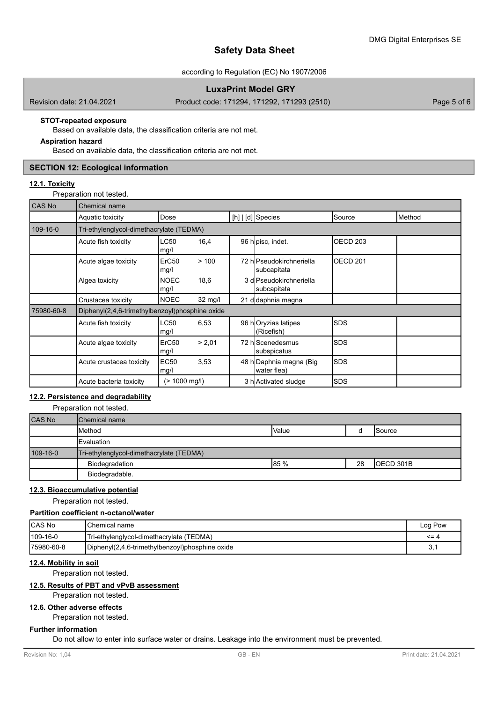according to Regulation (EC) No 1907/2006

## **LuxaPrint Model GRY**

Revision date: 21.04.2021 Product code: 171294, 171292, 171293 (2510) Page 5 of 6

## **STOT-repeated exposure**

Based on available data, the classification criteria are not met.

## **Aspiration hazard**

Based on available data, the classification criteria are not met.

## **SECTION 12: Ecological information**

### **12.1. Toxicity**

Preparation not tested.

| <b>CAS No</b> | Chemical name                                   |                           |                   |  |                                         |             |        |  |
|---------------|-------------------------------------------------|---------------------------|-------------------|--|-----------------------------------------|-------------|--------|--|
|               | Aquatic toxicity                                | Dose                      |                   |  | $[h]   [d]$ Species                     | Source      | Method |  |
| 109-16-0      | Tri-ethylenglycol-dimethacrylate (TEDMA)        |                           |                   |  |                                         |             |        |  |
|               | Acute fish toxicity                             | LC50<br>mg/l              | 16,4              |  | 96 hopisc, indet.                       | OECD 203    |        |  |
|               | Acute algae toxicity                            | ErC <sub>50</sub><br>mg/l | >100              |  | 72 hlPseudokirchneriella<br>subcapitata | IOECD 201   |        |  |
|               | Algea toxicity                                  | <b>NOEC</b><br>mg/l       | 18,6              |  | 3 dlPseudokirchneriella<br>subcapitata  |             |        |  |
|               | Crustacea toxicity                              | <b>NOEC</b>               | $32 \text{ mg/l}$ |  | 21 dodaphnia magna                      |             |        |  |
| 75980-60-8    | Diphenyl(2,4,6-trimethylbenzoyl)phosphine oxide |                           |                   |  |                                         |             |        |  |
|               | Acute fish toxicity                             | LC50<br>mg/l              | 6,53              |  | 96 hOryzias latipes<br>(Ricefish)       | <b>SDS</b>  |        |  |
|               | Acute algae toxicity                            | ErC <sub>50</sub><br>mg/l | > 2,01            |  | 72 hlScenedesmus<br>subspicatus         | <b>ISDS</b> |        |  |
|               | Acute crustacea toxicity                        | <b>EC50</b><br>mg/l       | 3,53              |  | 48 h Daphnia magna (Big<br>water flea)  | ISDS        |        |  |
|               | Acute bacteria toxicity                         | $(> 1000 \text{ mg/l})$   |                   |  | 3 h Activated sludge                    | ISDS        |        |  |

## **12.2. Persistence and degradability**

Preparation not tested.

| <b>CAS No</b> | <b>I</b> Chemical name                   |              |    |            |
|---------------|------------------------------------------|--------------|----|------------|
|               | <b>Method</b>                            | <b>Value</b> |    | Source     |
|               | <b>I</b> Evaluation                      |              |    |            |
| 109-16-0      | Tri-ethylenglycol-dimethacrylate (TEDMA) |              |    |            |
|               | Biodegradation                           | 85 %         | 28 | IOECD 301B |
|               | Biodegradable.                           |              |    |            |

## **12.3. Bioaccumulative potential**

Preparation not tested.

### **Partition coefficient n-octanol/water**

| CAS No      | IChemical name                                  | ⊩Pow<br>Log |
|-------------|-------------------------------------------------|-------------|
| 109-16-0    | Tri-ethylenglycol-dimethacrylate (TEDMA)        | $\leq$ = 4  |
| 175980-60-8 | Diphenyl(2,4,6-trimethylbenzoyl)phosphine oxide | ູບ.         |

## **12.4. Mobility in soil**

Preparation not tested.

## **12.5. Results of PBT and vPvB assessment**

Preparation not tested.

## **12.6. Other adverse effects**

Preparation not tested.

### **Further information**

Do not allow to enter into surface water or drains. Leakage into the environment must be prevented.